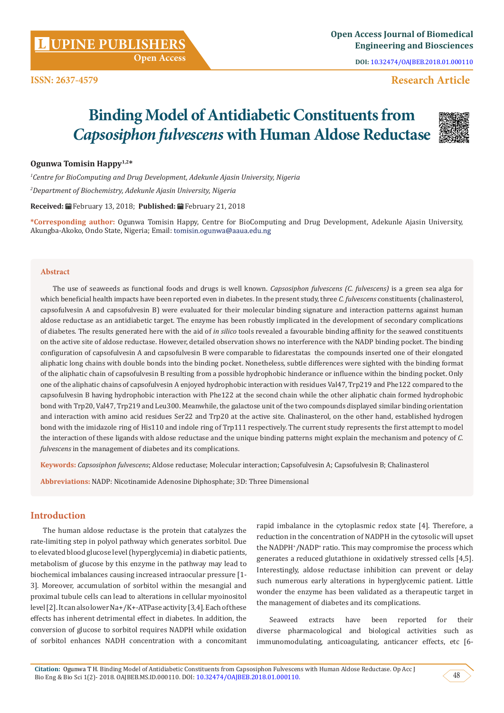**UPINE PUBLISHERS <sup>L</sup> Open Access Journal of Biomedical Engineering and Biosciences**

**DOI:** [10.32474/OAJBEB.2018.01.000110](http://dx.doi.org/10.32474/OAJBEB.2018.01.000110)

# **Research Article**

# **Binding Model of Antidiabetic Constituents from**  *Capsosiphon fulvescens* **with Human Aldose Reductase**



#### **Ogunwa Tomisin Happy1,2\***

*1 Centre for BioComputing and Drug Development, Adekunle Ajasin University, Nigeria 2 Department of Biochemistry, Adekunle Ajasin University, Nigeria*

**Received:** February 13, 2018; **Published:** February 21, 2018

**\*Corresponding author:** Ogunwa Tomisin Happy, Centre for BioComputing and Drug Development, Adekunle Ajasin University, Akungba-Akoko, Ondo State, Nigeria; Email: tomisin.ogunwa@aaua.edu.ng

#### **Abstract**

The use of seaweeds as functional foods and drugs is well known. *Capsosiphon fulvescens (C. fulvescens)* is a green sea alga for which beneficial health impacts have been reported even in diabetes. In the present study, three *C. fulvescens* constituents (chalinasterol, capsofulvesin A and capsofulvesin B) were evaluated for their molecular binding signature and interaction patterns against human aldose reductase as an antidiabetic target. The enzyme has been robustly implicated in the development of secondary complications of diabetes. The results generated here with the aid of *in silico* tools revealed a favourable binding affinity for the seawed constituents on the active site of aldose reductase. However, detailed observation shows no interference with the NADP binding pocket. The binding configuration of capsofulvesin A and capsofulvesin B were comparable to fidarestatas the compounds inserted one of their elongated aliphatic long chains with double bonds into the binding pocket. Nonetheless, subtle differences were sighted with the binding format of the aliphatic chain of capsofulvesin B resulting from a possible hydrophobic hinderance or influence within the binding pocket. Only one of the aliphatic chains of capsofulvesin A enjoyed hydrophobic interaction with residues Val47, Trp219 and Phe122 compared to the capsofulvesin B having hydrophobic interaction with Phe122 at the second chain while the other aliphatic chain formed hydrophobic bond with Trp20, Val47, Trp219 and Leu300. Meanwhile, the galactose unit of the two compounds displayed similar binding orientation and interaction with amino acid residues Ser22 and Trp20 at the active site. Chalinasterol, on the other hand, established hydrogen bond with the imidazole ring of His110 and indole ring of Trp111 respectively. The current study represents the first attempt to model the interaction of these ligands with aldose reductase and the unique binding patterns might explain the mechanism and potency of *C. fulvescens* in the management of diabetes and its complications.

**Keywords:** *Capsosiphon fulvescens*; Aldose reductase; Molecular interaction; Capsofulvesin A; Capsofulvesin B; Chalinasterol

**Abbreviations:** NADP: Nicotinamide Adenosine Diphosphate; 3D: Three Dimensional

# **Introduction**

The human aldose reductase is the protein that catalyzes the rate-limiting step in polyol pathway which generates sorbitol. Due to elevated blood glucose level (hyperglycemia) in diabetic patients, metabolism of glucose by this enzyme in the pathway may lead to biochemical imbalances causing increased intraocular pressure [1- 3]. Moreover, accumulation of sorbitol within the mesangial and proximal tubule cells can lead to alterations in cellular myoinositol level [2]. It can also lower Na+/K+-ATPase activity [3,4]. Each of these effects has inherent detrimental effect in diabetes. In addition, the conversion of glucose to sorbitol requires NADPH while oxidation of sorbitol enhances NADH concentration with a concomitant rapid imbalance in the cytoplasmic redox state [4]. Therefore, a reduction in the concentration of NADPH in the cytosolic will upset the NADPH\*/NADP\* ratio. This may compromise the process which generates a reduced glutathione in oxidatively stressed cells [4,5]. Interestingly, aldose reductase inhibition can prevent or delay such numerous early alterations in hyperglycemic patient. Little wonder the enzyme has been validated as a therapeutic target in the management of diabetes and its complications.

Seaweed extracts have been reported for their diverse pharmacological and biological activities such as immunomodulating, anticoagulating, anticancer effects, etc [6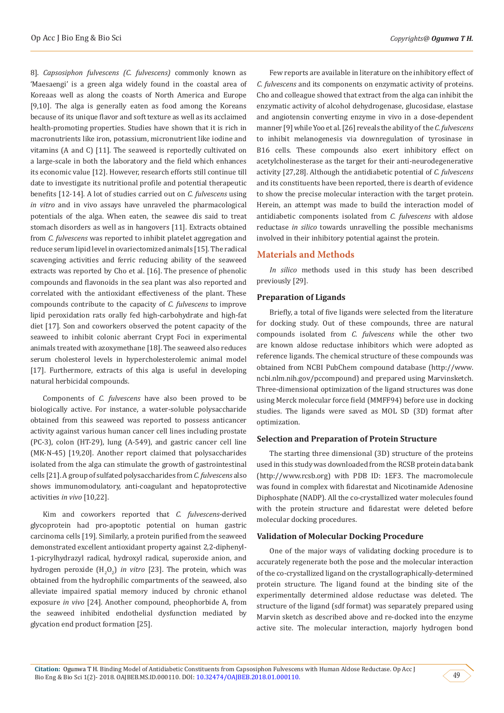8]. *Capsosiphon fulvescens (C. fulvescens)* commonly known as 'Maesaengi' is a green alga widely found in the coastal area of Koreaas well as along the coasts of North America and Europe [9,10]. The alga is generally eaten as food among the Koreans because of its unique flavor and soft texture as well as its acclaimed health-promoting properties. Studies have shown that it is rich in macronutrients like iron, potassium, micronutrient like iodine and vitamins (A and C) [11]. The seaweed is reportedly cultivated on a large-scale in both the laboratory and the field which enhances its economic value [12]. However, research efforts still continue till date to investigate its nutritional profile and potential therapeutic benefits [12-14]. A lot of studies carried out on *C. fulvescens* using *in vitro* and in vivo assays have unraveled the pharmacological potentials of the alga. When eaten, the seawee dis said to treat stomach disorders as well as in hangovers [11]. Extracts obtained from *C. fulvescens* was reported to inhibit platelet aggregation and reduce serum lipid level in ovariectomized animals [15]. The radical scavenging activities and ferric reducing ability of the seaweed extracts was reported by Cho et al. [16]. The presence of phenolic compounds and flavonoids in the sea plant was also reported and correlated with the antioxidant effectiveness of the plant. These compounds contribute to the capacity of *C. fulvescens* to improve lipid peroxidation rats orally fed high-carbohydrate and high-fat diet [17]. Son and coworkers observed the potent capacity of the seaweed to inhibit colonic aberrant Crypt Foci in experimental animals treated with azoxymethane [18]. The seaweed also reduces serum cholesterol levels in hypercholesterolemic animal model [17]. Furthermore, extracts of this alga is useful in developing natural herbicidal compounds.

Components of *C. fulvescens* have also been proved to be biologically active. For instance, a water-soluble polysaccharide obtained from this seaweed was reported to possess anticancer activity against various human cancer cell lines including prostate (PC-3), colon (HT-29), lung (A-549), and gastric cancer cell line (MK-N-45) [19,20]. Another report claimed that polysaccharides isolated from the alga can stimulate the growth of gastrointestinal cells [21]. A group of sulfated polysaccharides from *C. fulvescens* also shows immunomodulatory, anti-coagulant and hepatoprotective activities *in vivo* [10,22].

Kim and coworkers reported that *C. fulvescens*-derived glycoprotein had pro-apoptotic potential on human gastric carcinoma cells [19]. Similarly, a protein purified from the seaweed demonstrated excellent antioxidant property against 2,2-diphenyl-1-picrylhydrazyl radical, hydroxyl radical, superoxide anion, and hydrogen peroxide  $(H_2O_2)$  *in vitro* [23]. The protein, which was obtained from the hydrophilic compartments of the seaweed, also alleviate impaired spatial memory induced by chronic ethanol exposure *in vivo* [24]. Another compound, pheophorbide A, from the seaweed inhibited endothelial dysfunction mediated by glycation end product formation [25].

Few reports are available in literature on the inhibitory effect of *C. fulvescens* and its components on enzymatic activity of proteins. Cho and colleague showed that extract from the alga can inhibit the enzymatic activity of alcohol dehydrogenase, glucosidase, elastase and angiotensin converting enzyme in vivo in a dose-dependent manner [9] while Yoo et al. [26] reveals the ability of the *C. fulvescens*  to inhibit melanogenesis via downregulation of tyrosinase in B16 cells. These compounds also exert inhibitory effect on acetylcholinesterase as the target for their anti-neurodegenerative activity [27,28]. Although the antidiabetic potential of *C. fulvescens*  and its constituents have been reported, there is dearth of evidence to show the precise molecular interaction with the target protein. Herein, an attempt was made to build the interaction model of antidiabetic components isolated from *C. fulvescens* with aldose reductase *in silico* towards unravelling the possible mechanisms involved in their inhibitory potential against the protein.

# **Materials and Methods**

*In silico* methods used in this study has been described previously [29].

#### **Preparation of Ligands**

Briefly, a total of five ligands were selected from the literature for docking study. Out of these compounds, three are natural compounds isolated from *C. fulvescens* while the other two are known aldose reductase inhibitors which were adopted as reference ligands. The chemical structure of these compounds was obtained from NCBI PubChem compound database (http://www. ncbi.nlm.nih.gov/pccompound) and prepared using Marvinsketch. Three-dimensional optimization of the ligand structures was done using Merck molecular force field (MMFF94) before use in docking studies. The ligands were saved as MOL SD (3D) format after optimization.

#### **Selection and Preparation of Protein Structure**

The starting three dimensional (3D) structure of the proteins used in this study was downloaded from the RCSB protein data bank (http://www.rcsb.org) with PDB ID: 1EF3. The macromolecule was found in complex with fidarestat and Nicotinamide Adenosine Diphosphate (NADP). All the co-crystallized water molecules found with the protein structure and fidarestat were deleted before molecular docking procedures.

#### **Validation of Molecular Docking Procedure**

One of the major ways of validating docking procedure is to accurately regenerate both the pose and the molecular interaction of the co-crystallized ligand on the crystallographically-determined protein structure. The ligand found at the binding site of the experimentally determined aldose reductase was deleted. The structure of the ligand (sdf format) was separately prepared using Marvin sketch as described above and re-docked into the enzyme active site. The molecular interaction, majorly hydrogen bond

49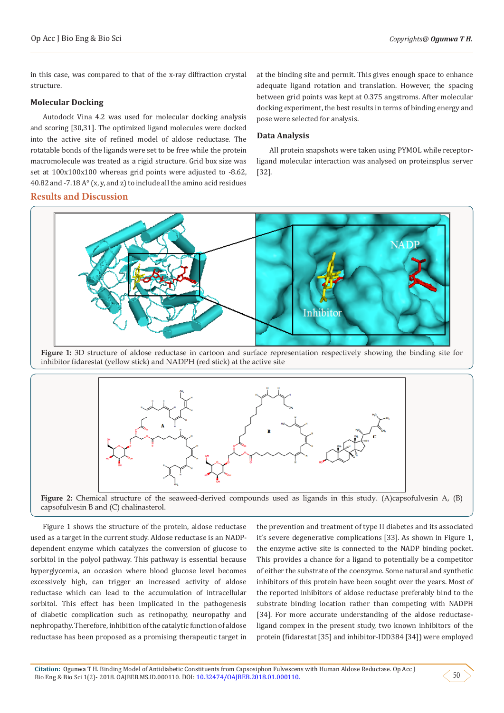in this case, was compared to that of the x-ray diffraction crystal structure.

### **Molecular Docking**

Autodock Vina 4.2 was used for molecular docking analysis and scoring [30,31]. The optimized ligand molecules were docked into the active site of refined model of aldose reductase. The rotatable bonds of the ligands were set to be free while the protein macromolecule was treated as a rigid structure. Grid box size was set at 100x100x100 whereas grid points were adjusted to -8.62, 40.82 and -7.18 A° (x, y, and z) to include all the amino acid residues

## **Results and Discussion**

at the binding site and permit. This gives enough space to enhance adequate ligand rotation and translation. However, the spacing between grid points was kept at 0.375 angstroms. After molecular docking experiment, the best results in terms of binding energy and pose were selected for analysis.

# **Data Analysis**

All protein snapshots were taken using PYMOL while receptorligand molecular interaction was analysed on proteinsplus server [32].



**Figure 1:** 3D structure of aldose reductase in cartoon and surface representation respectively showing the binding site for inhibitor fidarestat (yellow stick) and NADPH (red stick) at the active site



**Figure 2:** Chemical structure of the seaweed-derived compounds used as ligands in this study. (A)capsofulvesin A, (B) capsofulvesin B and (C) chalinasterol.

Figure 1 shows the structure of the protein, aldose reductase used as a target in the current study. Aldose reductase is an NADPdependent enzyme which catalyzes the conversion of glucose to sorbitol in the polyol pathway. This pathway is essential because hyperglycemia, an occasion where blood glucose level becomes excessively high, can trigger an increased activity of aldose reductase which can lead to the accumulation of intracellular sorbitol. This effect has been implicated in the pathogenesis of diabetic complication such as retinopathy, neuropathy and nephropathy. Therefore, inhibition of the catalytic function of aldose reductase has been proposed as a promising therapeutic target in the prevention and treatment of type II diabetes and its associated it's severe degenerative complications [33]. As shown in Figure 1, the enzyme active site is connected to the NADP binding pocket. This provides a chance for a ligand to potentially be a competitor of either the substrate of the coenzyme. Some natural and synthetic inhibitors of this protein have been sought over the years. Most of the reported inhibitors of aldose reductase preferably bind to the substrate binding location rather than competing with NADPH [34]. For more accurate understanding of the aldose reductaseligand compex in the present study, two known inhibitors of the protein (fidarestat [35] and inhibitor-IDD384 [34]) were employed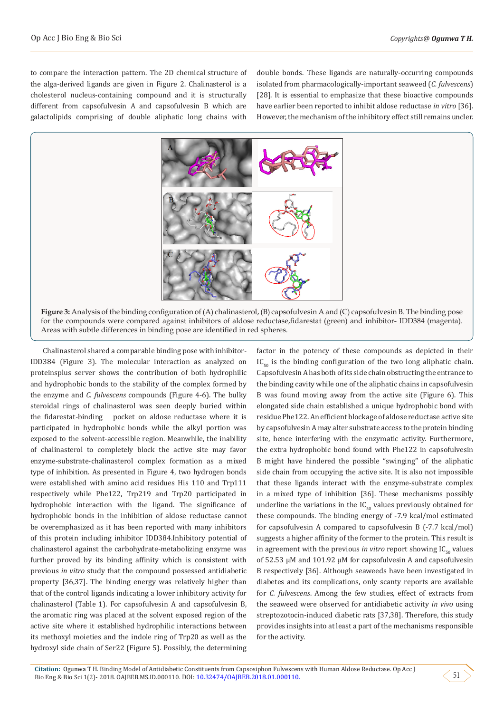to compare the interaction pattern. The 2D chemical structure of the alga-derived ligands are given in Figure 2. Chalinasterol is a cholesterol nucleus-containing compound and it is structurally different from capsofulvesin A and capsofulvesin B which are galactolipids comprising of double aliphatic long chains with

double bonds. These ligands are naturally-occurring compounds isolated from pharmacologically-important seaweed (*C. fulvescens*) [28]. It is essential to emphasize that these bioactive compounds have earlier been reported to inhibit aldose reductase *in vitro* [36]. However, the mechanism of the inhibitory effect still remains uncler.



Areas with subtle differences in binding pose are identified in red spheres.

Chalinasterol shared a comparable binding pose with inhibitor-IDD384 (Figure 3). The molecular interaction as analyzed on proteinsplus server shows the contribution of both hydrophilic and hydrophobic bonds to the stability of the complex formed by the enzyme and *C. fulvescens* compounds (Figure 4-6). The bulky steroidal rings of chalinasterol was seen deeply buried within the fidarestat-binding pocket on aldose reductase where it is participated in hydrophobic bonds while the alkyl portion was exposed to the solvent-accessible region. Meanwhile, the inability of chalinasterol to completely block the active site may favor enzyme-substrate-chalinasterol complex formation as a mixed type of inhibition. As presented in Figure 4, two hydrogen bonds were established with amino acid residues His 110 and Trp111 respectively while Phe122, Trp219 and Trp20 participated in hydrophobic interaction with the ligand. The significance of hydrophobic bonds in the inhibition of aldose reductase cannot be overemphasized as it has been reported with many inhibitors of this protein including inhibitor IDD384.Inhibitory potential of chalinasterol against the carbohydrate-metabolizing enzyme was further proved by its binding affinity which is consistent with previous *in vitro* study that the compound possessed antidiabetic property [36,37]. The binding energy was relatively higher than that of the control ligands indicating a lower inhibitory activity for chalinasterol (Table 1). For capsofulvesin A and capsofulvesin B, the aromatic ring was placed at the solvent exposed region of the active site where it established hydrophilic interactions between its methoxyl moieties and the indole ring of Trp20 as well as the hydroxyl side chain of Ser22 (Figure 5). Possibly, the determining

factor in the potency of these compounds as depicted in their  $IC_{50}$  is the binding configuration of the two long aliphatic chain. Capsofulvesin A has both of its side chain obstructing the entrance to the binding cavity while one of the aliphatic chains in capsofulvesin B was found moving away from the active site (Figure 6). This elongated side chain established a unique hydrophobic bond with residue Phe122. An efficient blockage of aldose reductase active site by capsofulvesin A may alter substrate access to the protein binding site, hence interfering with the enzymatic activity. Furthermore, the extra hydrophobic bond found with Phe122 in capsofulvesin B might have hindered the possible "swinging" of the aliphatic side chain from occupying the active site. It is also not impossible that these ligands interact with the enzyme-substrate complex in a mixed type of inhibition [36]. These mechanisms possibly underline the variations in the  $IC_{50}$  values previously obtained for these compounds. The binding energy of -7.9 kcal/mol estimated for capsofulvesin A compared to capsofulvesin B (-7.7 kcal/mol) suggests a higher affinity of the former to the protein. This result is in agreement with the previous *in vitro* report showing  $IC_{50}$  values of 52.53 µM and 101.92 µM for capsofulvesin A and capsofulvesin B respectively [36]. Although seaweeds have been investigated in diabetes and its complications, only scanty reports are available for *C. fulvescens*. Among the few studies, effect of extracts from the seaweed were observed for antidiabetic activity *in vivo* using streptozotocin-induced diabetic rats [37,38]. Therefore, this study provides insights into at least a part of the mechanisms responsible for the activity.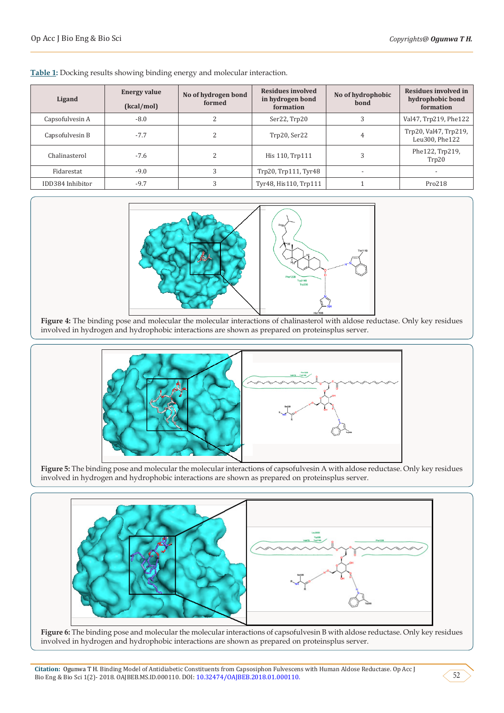| Ligand           | <b>Energy value</b><br>(kcal/mol) | No of hydrogen bond<br>formed | Residues involved<br>in hydrogen bond<br>formation | No of hydrophobic<br>bond | Residues involved in<br>hydrophobic bond<br>formation |
|------------------|-----------------------------------|-------------------------------|----------------------------------------------------|---------------------------|-------------------------------------------------------|
| Capsofulvesin A  | $-8.0$                            |                               | Ser22, Trp20                                       | 3                         | Val47, Trp219, Phe122                                 |
| Capsofulvesin B  | $-7.7$                            |                               | Trp20, Ser22                                       | 4                         | Trp20, Val47, Trp219,<br>Leu300, Phe122               |
| Chalinasterol    | $-7.6$                            |                               | His 110, Trp111                                    |                           | Phe122, Trp219,<br>Trp20                              |
| Fidarestat       | $-9.0$                            |                               | Trp20, Trp111, Tyr48                               |                           |                                                       |
| IDD384 Inhibitor | $-9.7$                            |                               | Tyr48, His110, Trp111                              |                           | Pro218                                                |

**Table 1:** Docking results showing binding energy and molecular interaction.



Figure 4: The binding pose and molecular the molecular interactions of chalinasterol with aldose reductase. Only key residues involved in hydrogen and hydrophobic interactions are shown as prepared on proteinsplus server.



Figure 5: The binding pose and molecular the molecular interactions of capsofulvesin A with aldose reductase. Only key residues involved in hydrogen and hydrophobic interactions are shown as prepared on proteinsplus server.



**Figure 6:** The binding pose and molecular the molecular interactions of capsofulvesin B with aldose reductase. Only key residues involved in hydrogen and hydrophobic interactions are shown as prepared on proteinsplus server.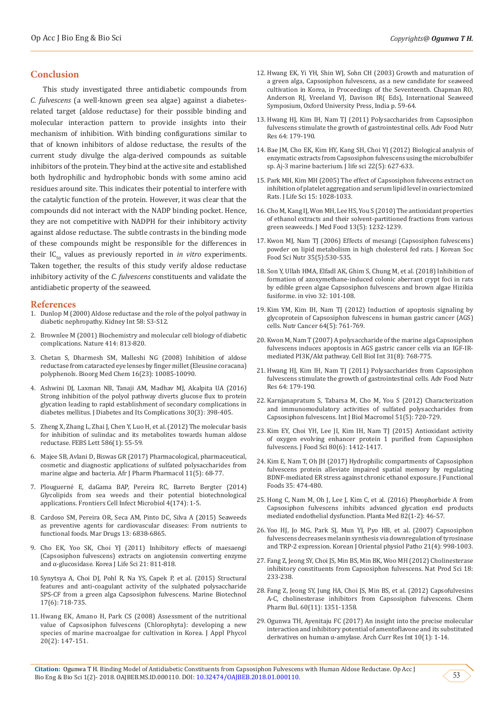## **Conclusion**

This study investigated three antidiabetic compounds from *C. fulvescens* (a well-known green sea algae) against a diabetesrelated target (aldose reductase) for their possible binding and molecular interaction pattern to provide insights into their mechanism of inhibition. With binding configurations similar to that of known inhibitors of aldose reductase, the results of the current study divulge the alga-derived compounds as suitable inhibitors of the protein. They bind at the active site and established both hydrophilic and hydrophobic bonds with some amino acid residues around site. This indicates their potential to interfere with the catalytic function of the protein. However, it was clear that the compounds did not interact with the NADP binding pocket. Hence, they are not competitive with NADPH for their inhibitory activity against aldose reductase. The subtle contrasts in the binding mode of these compounds might be responsible for the differences in their  $IC_{50}$  values as previously reported in *in vitro* experiments. Taken together, the results of this study verify aldose reductase inhibitory activity of the *C. fulvescens* constituents and validate the antidiabetic property of the seaweed.

#### **References**

- 1. [Dunlop M \(2000\) Aldose reductase and the role of the polyol pathway in](https://www.ncbi.nlm.nih.gov/pubmed/10997684)  [diabetic nephropathy. Kidney Int 58: S3-S12.](https://www.ncbi.nlm.nih.gov/pubmed/10997684)
- 2. [Brownlee M \(2001\) Biochemistry and molecular cell biology of diabetic](https://www.ncbi.nlm.nih.gov/pubmed/11742414)  [complications. Nature 414: 813-820.](https://www.ncbi.nlm.nih.gov/pubmed/11742414)
- 3. [Chetan S, Dharmesh SM, Malleshi NG \(2008\) Inhibition of aldose](https://www.ncbi.nlm.nih.gov/pubmed/18976928)  [reductase from cataracted eye lenses by finger millet \(Eleusine coracana\)](https://www.ncbi.nlm.nih.gov/pubmed/18976928)  [polyphenols. Bioorg Med Chem 16\(23\): 10085-10090.](https://www.ncbi.nlm.nih.gov/pubmed/18976928)
- 4. [Ashwini DJ, Laxman NB, Tanaji AM, Madhav MJ, Akalpita UA \(2016\)](https://www.ncbi.nlm.nih.gov/pubmed/26896333)  [Strong inhibition of the polyol pathway diverts glucose flux to protein](https://www.ncbi.nlm.nih.gov/pubmed/26896333)  [glycation leading to rapid establishment of secondary complications in](https://www.ncbi.nlm.nih.gov/pubmed/26896333)  [diabetes mellitus. J Diabetes and Its Complications 30\(3\): 398-405.](https://www.ncbi.nlm.nih.gov/pubmed/26896333)
- 5. Zheng X, Zhang L, Zhai J, Chen Y, [Luo H, et al. \(2012\) The molecular basis](https://www.ncbi.nlm.nih.gov/pubmed/22155003)  [for inhibition of sulindac and its metabolites towards human aldose](https://www.ncbi.nlm.nih.gov/pubmed/22155003)  [reductase. FEBS Lett](https://www.ncbi.nlm.nih.gov/pubmed/22155003) 586(1): 55-59.
- 6. [Majee SB, Avlani D, Biswas GR \(2017\) Pharmacological, pharmaceutical,](http://www.academicjournals.org/journal/AJPP/article-abstract/49D86AB62725)  [cosmetic and diagnostic applications of sulfated polysaccharides from](http://www.academicjournals.org/journal/AJPP/article-abstract/49D86AB62725)  [marine algae and bacteria. Afr J Pharm Pharmacol 11\(5\): 68-77.](http://www.academicjournals.org/journal/AJPP/article-abstract/49D86AB62725)
- 7. Plouguerné E, daGama BAP, Pereira RC, Barreto Bergter (2014) Glycolipids from sea weeds and their potential biotechnological applications. Frontiers Cell Infect Microbiol 4(174): 1-5.
- 8. [Cardoso SM, Pereira OR, Seca AM, Pinto DC, Silva A \(2015\) Seaweeds](https://www.ncbi.nlm.nih.gov/pmc/articles/PMC4663556/)  [as preventive agents for cardiovascular diseases: From nutrients to](https://www.ncbi.nlm.nih.gov/pmc/articles/PMC4663556/)  [functional foods. Mar Drugs 13: 6838-6865.](https://www.ncbi.nlm.nih.gov/pmc/articles/PMC4663556/)
- 9. [Cho EK, Yoo SK, Choi YJ \(2011\) Inhibitory effects of maesaengi](https://www.researchgate.net/publication/272703894_Inhibitory_Effects_of_Maesaengi_Capsosiphon_fulvescens_Extracts_on_Angiotensin_Converting_Enzyme_and_-Glucosidase)  [\(Capsosiphon fulvescens\) extracts on angiotensin converting enzyme](https://www.researchgate.net/publication/272703894_Inhibitory_Effects_of_Maesaengi_Capsosiphon_fulvescens_Extracts_on_Angiotensin_Converting_Enzyme_and_-Glucosidase)  [and α-glucosidase. Korea J Life Sci 21: 811-818.](https://www.researchgate.net/publication/272703894_Inhibitory_Effects_of_Maesaengi_Capsosiphon_fulvescens_Extracts_on_Angiotensin_Converting_Enzyme_and_-Glucosidase)
- 10. [Synytsya A, Choi DJ, Pohl R, Na YS, Capek P, et al. \(2015\) Structural](https://www.ncbi.nlm.nih.gov/pubmed/26337523)  [features and anti-coagulant activity of the sulphated polysaccharide](https://www.ncbi.nlm.nih.gov/pubmed/26337523)  [SPS-CF from a green alga Capsosiphon fulvescens. Marine Biotechnol](https://www.ncbi.nlm.nih.gov/pubmed/26337523)  [17\(6\): 718-735.](https://www.ncbi.nlm.nih.gov/pubmed/26337523)
- 11.[Hwang EK, Amano H, Park CS \(2008\) Assessment of the nutritional](https://www.researchgate.net/publication/225622961_Assessment_of_the_nutritional_value_of_Capsosiphon_fulvescens_Chlorophyta_Developing_a_new_species_of_marine_macroalgae_for_cultivation_in_Korea)  value of Capsosiphon fulvescens [\(Chlorophyta\): developing a new](https://www.researchgate.net/publication/225622961_Assessment_of_the_nutritional_value_of_Capsosiphon_fulvescens_Chlorophyta_Developing_a_new_species_of_marine_macroalgae_for_cultivation_in_Korea)  species of marine macroalgae for cultivation in Korea. J Appl Phycol [20\(2\): 147-151.](https://www.researchgate.net/publication/225622961_Assessment_of_the_nutritional_value_of_Capsosiphon_fulvescens_Chlorophyta_Developing_a_new_species_of_marine_macroalgae_for_cultivation_in_Korea)
- 12. Hwang EK, Yi YH, Shin WJ, Sohn CH (2003) Growth and maturation of a green alga, Capsosiphon fulvescens, as a new candidate for seaweed cultivation in Korea, in Proceedings of the Seventeenth. Chapman RO, Anderson RJ, Vreeland VJ, Davison IR( Eds), International Seaweed Symposium, Oxford University Press, India p. 59-64.
- 13. [Hwang HJ, Kim IH, Nam TJ \(2011\) Polysaccharides from Capsosiphon](https://www.ncbi.nlm.nih.gov/pubmed/22054946) [fulvescens stimulate the growth of gastrointestinal cells. Adv Food Nutr](https://www.ncbi.nlm.nih.gov/pubmed/22054946) [Res 64: 179-190.](https://www.ncbi.nlm.nih.gov/pubmed/22054946)
- 14. [Bae JM, Cho EK, Kim HY, Kang SH, Choi YJ \(2012\) Biological analysis of](https://www.dbpia.co.kr/Journal/ArticleDetail/NODE01872600) [enzymatic extracts from Capsosiphon fulvescens using the microbulbifer](https://www.dbpia.co.kr/Journal/ArticleDetail/NODE01872600) [sp. Aj-3 marine bacterium. J life sci 22\(5\): 627-633.](https://www.dbpia.co.kr/Journal/ArticleDetail/NODE01872600)
- 15. [Park MH, Kim MH \(2005\) The effect of Capsosiphon fulvecens extract on](https://www.dbpia.co.kr/Journal/ArticleDetail/NODE06771726) [inhibition of platelet aggregation and serum lipid level in ovariectomized](https://www.dbpia.co.kr/Journal/ArticleDetail/NODE06771726) [Rats. J Life Sci 15: 1028-1033.](https://www.dbpia.co.kr/Journal/ArticleDetail/NODE06771726)
- 16. [Cho M, Kang IJ, Won MH, Lee HS, You S \(2010\) The antioxidant properties](https://www.ncbi.nlm.nih.gov/pubmed/20828323) [of ethanol extracts and their solvent-partitioned fractions from various](https://www.ncbi.nlm.nih.gov/pubmed/20828323) [green seaweeds. J Med Food 13\(5\): 1232-1239.](https://www.ncbi.nlm.nih.gov/pubmed/20828323)
- 17. [Kwon MJ, Nam TJ \(2006\) Effects of mesangi \(Capsosiphon fulvescens\)](https://www.researchgate.net/publication/264029310_Effects_of_MesangiCapsosiphon_fulvecens_Powder_on_Lipid_Metabolism_in_High_Cholesterol_Fed_Rats) [powder on lipid metabolism in high cholesterol fed rats. J Korean Soc](https://www.researchgate.net/publication/264029310_Effects_of_MesangiCapsosiphon_fulvecens_Powder_on_Lipid_Metabolism_in_High_Cholesterol_Fed_Rats) [Food Sci Nutr 35\(5\):530-535.](https://www.researchgate.net/publication/264029310_Effects_of_MesangiCapsosiphon_fulvecens_Powder_on_Lipid_Metabolism_in_High_Cholesterol_Fed_Rats)
- 18. [Son Y, Ullah HMA, Elfadl AK, Ghim S, Chung M, et al. \(2018\) Inhibition of](https://www.ncbi.nlm.nih.gov/pubmed/29275305) [formation of azoxymethane-induced colonic aberrant crypt foci in rats](https://www.ncbi.nlm.nih.gov/pubmed/29275305) [by edible green algae Capsosiphon fulvescens and brown algae Hizikia](https://www.ncbi.nlm.nih.gov/pubmed/29275305) [fusiforme. in vivo 32: 101-108.](https://www.ncbi.nlm.nih.gov/pubmed/29275305)
- 19. Kim YM, Kim IH, [Nam TJ \(2012\) Induction of apoptosis signaling by](https://www.ncbi.nlm.nih.gov/pubmed/22591240) [glycoprotein of Capsosiphon fulvescens in human gastric cancer \(AGS\)](https://www.ncbi.nlm.nih.gov/pubmed/22591240) [cells. Nutr Cancer 64\(5\): 761-769.](https://www.ncbi.nlm.nih.gov/pubmed/22591240)
- 20. [Kwon M, Nam T \(2007\) A polysaccharide of the marine alga Capsosiphon](https://www.ncbi.nlm.nih.gov/pubmed/17344071) [fulvescens induces apoptosis in AGS gastric cancer cells via an IGF-IR](https://www.ncbi.nlm.nih.gov/pubmed/17344071)[mediated PI3K/Akt pathway. Cell Biol Int 31\(8\): 768-775.](https://www.ncbi.nlm.nih.gov/pubmed/17344071)
- 21. [Hwang HJ, Kim IH, Nam TJ \(2011\) Polysaccharides from Capsosiphon](https://www.ncbi.nlm.nih.gov/pubmed/22054946) [fulvescens stimulate the growth of gastrointestinal cells. Adv Food Nutr](https://www.ncbi.nlm.nih.gov/pubmed/22054946) [Res 64: 179-190.](https://www.ncbi.nlm.nih.gov/pubmed/22054946)
- 22. [Karnjanapratum S, Tabarsa M, Cho M, You S \(2012\) Characterization](https://www.ncbi.nlm.nih.gov/pubmed/22796642) [and immunomodulatory activities of sulfated polysaccharides from](https://www.ncbi.nlm.nih.gov/pubmed/22796642) [Capsosiphon fulvescens. Int J Biol Macromol 51\(5\): 720-729.](https://www.ncbi.nlm.nih.gov/pubmed/22796642)
- 23. Kim EY, Choi YH, Lee JI, Kim IH, [Nam TJ \(2015\) Antioxidant activity](https://www.ncbi.nlm.nih.gov/pubmed/25944160) [of oxygen evolving enhancer protein 1 purified from Capsosiphon](https://www.ncbi.nlm.nih.gov/pubmed/25944160) [fulvescens. J Food Sci](https://www.ncbi.nlm.nih.gov/pubmed/25944160) 80(6): 1412-1417.
- 24. [Kim E, Nam T, Oh JH \(2017\) Hydrophilic compartments of Capsosiphon](https://www.sciencedirect.com/science/article/pii/S1756464617303195) [fulvescens protein alleviate impaired spatial memory by regulating](https://www.sciencedirect.com/science/article/pii/S1756464617303195) [BDNF-mediated ER stress against chronic ethanol exposure. J Functional](https://www.sciencedirect.com/science/article/pii/S1756464617303195) [Foods 35: 474-480.](https://www.sciencedirect.com/science/article/pii/S1756464617303195)
- 25. [Hong C, Nam M, Oh J, Lee J, Kim C, et al. \(2016\) Pheophorbide A from](file:///C:/Users/web/Desktop/pending/New%20folder/OAJBEA.MS.ID.000110/OAJBEA-RA-18-110_W/p) [Capsosiphon fulvescens inhibits advanced glycation end products](file:///C:/Users/web/Desktop/pending/New%20folder/OAJBEA.MS.ID.000110/OAJBEA-RA-18-110_W/p) [mediated endothelial dysfunction. Planta Med 82\(1-2\): 46-57.](file:///C:/Users/web/Desktop/pending/New%20folder/OAJBEA.MS.ID.000110/OAJBEA-RA-18-110_W/p)
- 26. [Yoo HJ, Jo MG, Park SJ, Mun YJ, Pyo HB, et al. \(2007\) Capsosiphon](http://www.dbpia.co.kr/Journal/ArticleDetail/NODE02388851) [fulvescens decreases melanin synthesis via downregulation of tyrosinase](http://www.dbpia.co.kr/Journal/ArticleDetail/NODE02388851) [and TRP-2 expression. Korean J Oriental physiol Patho 21\(4\): 998-1003.](http://www.dbpia.co.kr/Journal/ArticleDetail/NODE02388851)
- 27. [Fang Z, Jeong SY, Choi JS, Min BS, Min BK, Woo MH \(2012\) Cholinesterase](http://agris.fao.org/agris-search/search.do?recordID=KR2015005335) [inhibitory constituents from Capsosiphon fulvescens. Nat Prod Sci 18:](http://agris.fao.org/agris-search/search.do?recordID=KR2015005335) [233-238.](http://agris.fao.org/agris-search/search.do?recordID=KR2015005335)
- 28. [Fang Z, Jeong SY, Jung HA, Choi JS, Min BS, et al. \(2012\) Capsofulvesins](https://www.ncbi.nlm.nih.gov/pubmed/23124557) [A-C, cholinesterase inhibitors from Capsosiphon fulvescens. Chem](https://www.ncbi.nlm.nih.gov/pubmed/23124557) [Pharm Bul. 60\(11\): 1351-1358.](https://www.ncbi.nlm.nih.gov/pubmed/23124557)
- 29. [Ogunwa TH, Ayenitaju FC \(2017\) An insight into the precise molecular](https://www.researchgate.net/publication/320302017_An_Insight_into_the_Precise_Molecular_Interaction_and_Inhibitory_Potential_of_Amentoflavone_and_Its_Substituted_Derivatives_on_Human_a-amylase) [interaction and inhibitory potential of amentoflavone and its substituted](https://www.researchgate.net/publication/320302017_An_Insight_into_the_Precise_Molecular_Interaction_and_Inhibitory_Potential_of_Amentoflavone_and_Its_Substituted_Derivatives_on_Human_a-amylase) [derivatives on human α-amylase. Arch Curr Res Int 10\(1\): 1-14.](https://www.researchgate.net/publication/320302017_An_Insight_into_the_Precise_Molecular_Interaction_and_Inhibitory_Potential_of_Amentoflavone_and_Its_Substituted_Derivatives_on_Human_a-amylase)

53